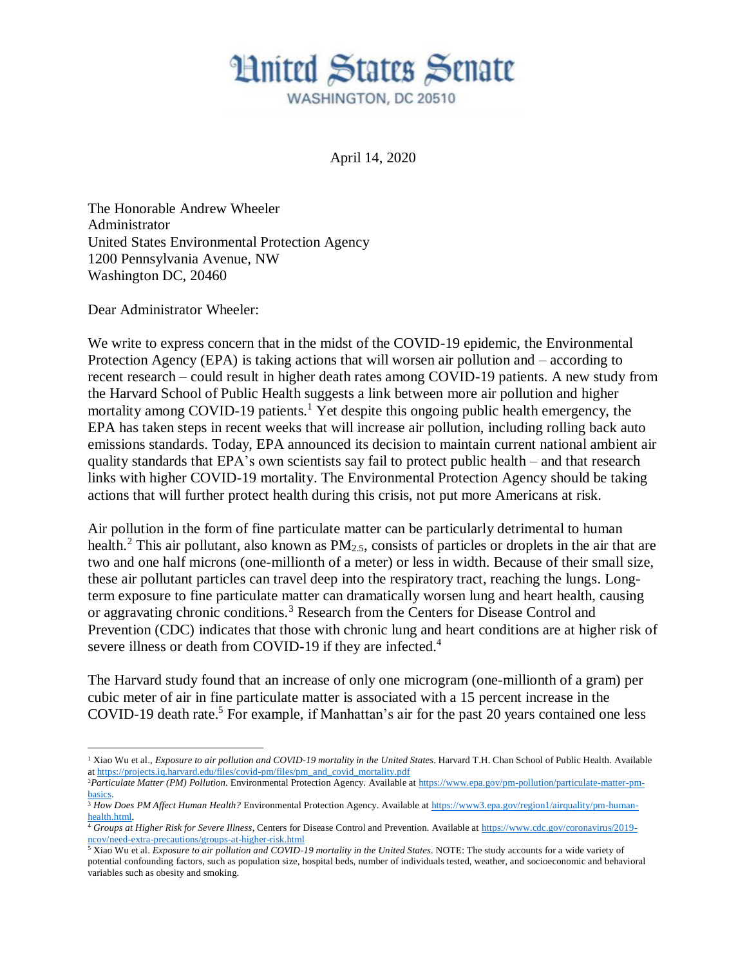## **Hnited States Senate** WASHINGTON, DC 20510

April 14, 2020

The Honorable Andrew Wheeler Administrator United States Environmental Protection Agency 1200 Pennsylvania Avenue, NW Washington DC, 20460

Dear Administrator Wheeler:

 $\overline{a}$ 

We write to express concern that in the midst of the COVID-19 epidemic, the Environmental Protection Agency (EPA) is taking actions that will worsen air pollution and – according to recent research – could result in higher death rates among COVID-19 patients. A new study from the Harvard School of Public Health suggests a link between more air pollution and higher mortality among COVID-19 patients.<sup>1</sup> Yet despite this ongoing public health emergency, the EPA has taken steps in recent weeks that will increase air pollution, including rolling back auto emissions standards. Today, EPA announced its decision to maintain current national ambient air quality standards that EPA's own scientists say fail to protect public health – and that research links with higher COVID-19 mortality. The Environmental Protection Agency should be taking actions that will further protect health during this crisis, not put more Americans at risk.

Air pollution in the form of fine particulate matter can be particularly detrimental to human health.<sup>2</sup> This air pollutant, also known as  $PM_{2.5}$ , consists of particles or droplets in the air that are two and one half microns (one-millionth of a meter) or less in width. Because of their small size, these air pollutant particles can travel deep into the respiratory tract, reaching the lungs. Longterm exposure to fine particulate matter can dramatically worsen lung and heart health, causing or aggravating chronic conditions.<sup>3</sup> Research from the Centers for Disease Control and Prevention (CDC) indicates that those with chronic lung and heart conditions are at higher risk of severe illness or death from COVID-19 if they are infected.<sup>4</sup>

The Harvard study found that an increase of only one microgram (one-millionth of a gram) per cubic meter of air in fine particulate matter is associated with a 15 percent increase in the COVID-19 death rate. <sup>5</sup> For example, if Manhattan's air for the past 20 years contained one less

<sup>&</sup>lt;sup>1</sup> Xiao Wu et al., *Exposure to air pollution and COVID-19 mortality in the United States*. Harvard T.H. Chan School of Public Health. Available at [https://projects.iq.harvard.edu/files/covid-pm/files/pm\\_and\\_covid\\_mortality.pdf](https://projects.iq.harvard.edu/files/covid-pm/files/pm_and_covid_mortality.pdf)

<sup>2</sup>*Particulate Matter (PM) Pollution.* Environmental Protection Agency. Available at [https://www.epa.gov/pm-pollution/particulate-matter-pm](https://www.epa.gov/pm-pollution/particulate-matter-pm-basics)[basics.](https://www.epa.gov/pm-pollution/particulate-matter-pm-basics) 

<sup>&</sup>lt;sup>3</sup> How Does PM Affect Human Health? Environmental Protection Agency. Available at [https://www3.epa.gov/region1/airquality/pm-human](https://www3.epa.gov/region1/airquality/pm-human-health.html)[health.html.](https://www3.epa.gov/region1/airquality/pm-human-health.html)

<sup>4</sup> *Groups at Higher Risk for Severe Illness*, Centers for Disease Control and Prevention. Available at [https://www.cdc.gov/coronavirus/2019](https://www.cdc.gov/coronavirus/2019-ncov/need-extra-precautions/groups-at-higher-risk.html) [ncov/need-extra-precautions/groups-at-higher-risk.html](https://www.cdc.gov/coronavirus/2019-ncov/need-extra-precautions/groups-at-higher-risk.html)

<sup>&</sup>lt;sup>5</sup> Xiao Wu et al. *Exposure to air pollution and COVID-19 mortality in the United States.* NOTE: The study accounts for a wide variety of potential confounding factors, such as population size, hospital beds, number of individuals tested, weather, and socioeconomic and behavioral variables such as obesity and smoking.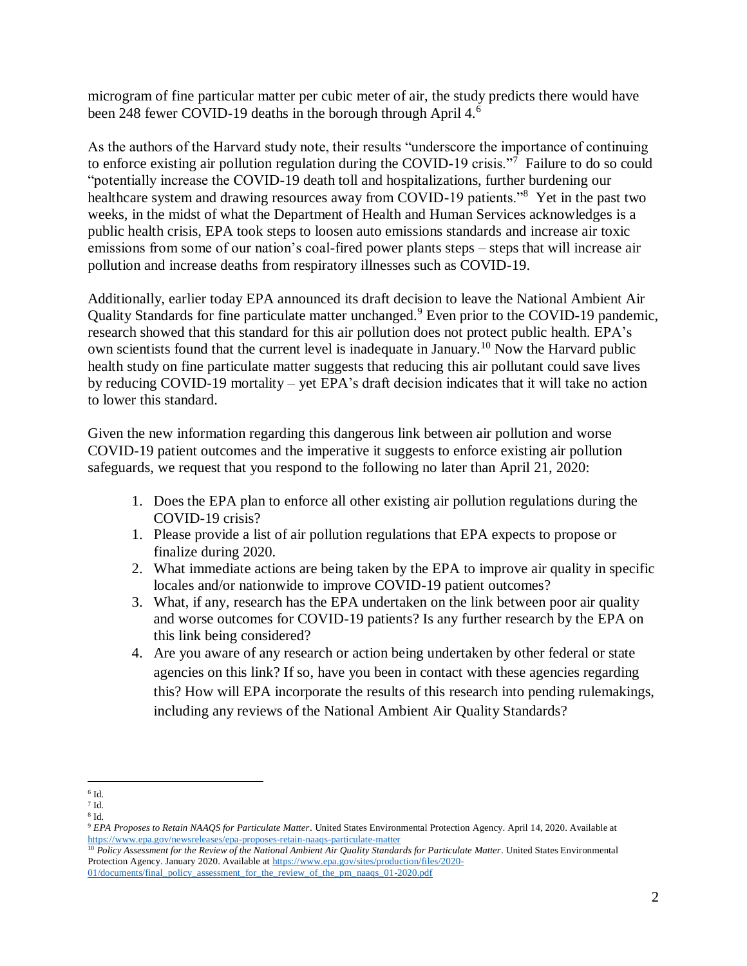microgram of fine particular matter per cubic meter of air, the study predicts there would have been 248 fewer COVID-19 deaths in the borough through April 4.<sup>6</sup>

As the authors of the Harvard study note, their results "underscore the importance of continuing to enforce existing air pollution regulation during the COVID-19 crisis."<sup>7</sup> Failure to do so could "potentially increase the COVID-19 death toll and hospitalizations, further burdening our healthcare system and drawing resources away from COVID-19 patients."<sup>8</sup> Yet in the past two weeks, in the midst of what the Department of Health and Human Services acknowledges is a public health crisis, EPA took steps to loosen auto emissions standards and increase air toxic emissions from some of our nation's coal-fired power plants steps – steps that will increase air pollution and increase deaths from respiratory illnesses such as COVID-19.

Additionally, earlier today EPA announced its draft decision to leave the National Ambient Air Quality Standards for fine particulate matter unchanged.<sup>9</sup> Even prior to the COVID-19 pandemic, research showed that this standard for this air pollution does not protect public health. EPA's own scientists found that the current level is inadequate in January.<sup>10</sup> Now the Harvard public health study on fine particulate matter suggests that reducing this air pollutant could save lives by reducing COVID-19 mortality – yet EPA's draft decision indicates that it will take no action to lower this standard.

Given the new information regarding this dangerous link between air pollution and worse COVID-19 patient outcomes and the imperative it suggests to enforce existing air pollution safeguards, we request that you respond to the following no later than April 21, 2020:

- 1. Does the EPA plan to enforce all other existing air pollution regulations during the COVID-19 crisis?
- 1. Please provide a list of air pollution regulations that EPA expects to propose or finalize during 2020.
- 2. What immediate actions are being taken by the EPA to improve air quality in specific locales and/or nationwide to improve COVID-19 patient outcomes?
- 3. What, if any, research has the EPA undertaken on the link between poor air quality and worse outcomes for COVID-19 patients? Is any further research by the EPA on this link being considered?
- 4. Are you aware of any research or action being undertaken by other federal or state agencies on this link? If so, have you been in contact with these agencies regarding this? How will EPA incorporate the results of this research into pending rulemakings, including any reviews of the National Ambient Air Quality Standards?

 $\overline{a}$ 6 Id.

 $7$  Id.

<sup>8</sup> Id.

<sup>9</sup> *EPA Proposes to Retain NAAQS for Particulate Matter*. United States Environmental Protection Agency. April 14, 2020. Available at <https://www.epa.gov/newsreleases/epa-proposes-retain-naaqs-particulate-matter>

<sup>10</sup> *Policy Assessment for the Review of the National Ambient Air Quality Standards for Particulate Matter*. United States Environmental Protection Agency. January 2020. Available a[t https://www.epa.gov/sites/production/files/2020-](https://www.epa.gov/sites/production/files/2020-01/documents/final_policy_assessment_for_the_review_of_the_pm_naaqs_01-2020.pdf) [01/documents/final\\_policy\\_assessment\\_for\\_the\\_review\\_of\\_the\\_pm\\_naaqs\\_01-2020.pdf](https://www.epa.gov/sites/production/files/2020-01/documents/final_policy_assessment_for_the_review_of_the_pm_naaqs_01-2020.pdf)